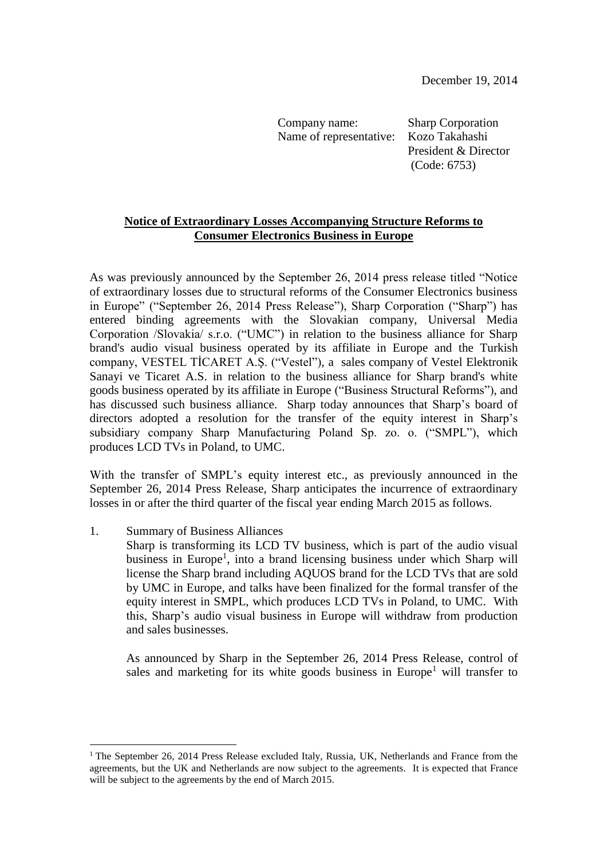Company name: Sharp Corporation Name of representative: Kozo Takahashi

President & Director (Code: 6753)

## **Notice of Extraordinary Losses Accompanying Structure Reforms to Consumer Electronics Business in Europe**

As was previously announced by the September 26, 2014 press release titled "Notice of extraordinary losses due to structural reforms of the Consumer Electronics business in Europe" ("September 26, 2014 Press Release"), Sharp Corporation ("Sharp") has entered binding agreements with the Slovakian company, Universal Media Corporation /Slovakia/ s.r.o. ("UMC") in relation to the business alliance for Sharp brand's audio visual business operated by its affiliate in Europe and the Turkish company, VESTEL TİCARET A.Ş. ("Vestel"), a sales company of Vestel Elektronik Sanayi ve Ticaret A.S. in relation to the business alliance for Sharp brand's white goods business operated by its affiliate in Europe ("Business Structural Reforms"), and has discussed such business alliance. Sharp today announces that Sharp's board of directors adopted a resolution for the transfer of the equity interest in Sharp's subsidiary company Sharp Manufacturing Poland Sp. zo. o. ("SMPL"), which produces LCD TVs in Poland, to UMC.

With the transfer of SMPL's equity interest etc., as previously announced in the September 26, 2014 Press Release, Sharp anticipates the incurrence of extraordinary losses in or after the third quarter of the fiscal year ending March 2015 as follows.

1. Summary of Business Alliances

 $\overline{a}$ 

Sharp is transforming its LCD TV business, which is part of the audio visual business in Europe<sup>1</sup>, into a brand licensing business under which Sharp will license the Sharp brand including AQUOS brand for the LCD TVs that are sold by UMC in Europe, and talks have been finalized for the formal transfer of the equity interest in SMPL, which produces LCD TVs in Poland, to UMC. With this, Sharp's audio visual business in Europe will withdraw from production and sales businesses.

As announced by Sharp in the September 26, 2014 Press Release, control of sales and marketing for its white goods business in Europe<sup>1</sup> will transfer to

<sup>&</sup>lt;sup>1</sup> The September 26, 2014 Press Release excluded Italy, Russia, UK, Netherlands and France from the agreements, but the UK and Netherlands are now subject to the agreements. It is expected that France will be subject to the agreements by the end of March 2015.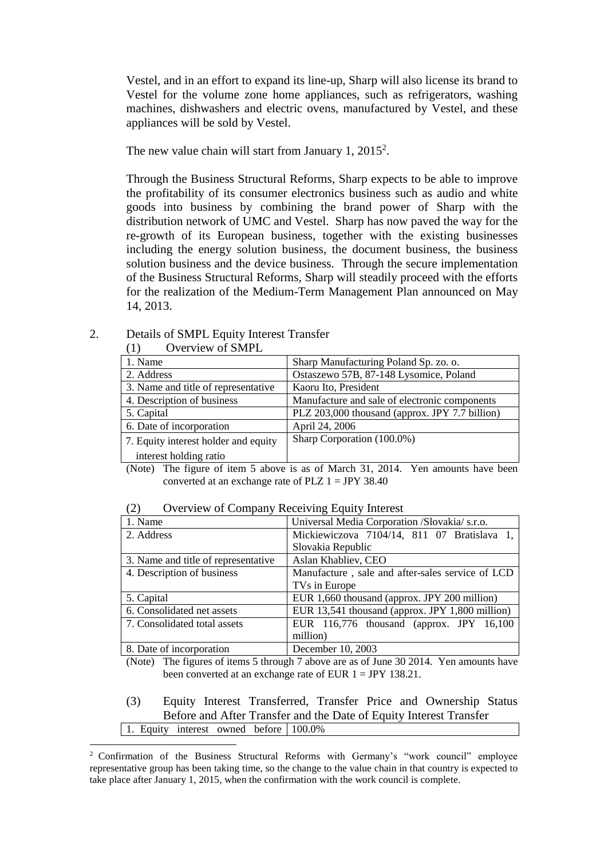Vestel, and in an effort to expand its line-up, Sharp will also license its brand to Vestel for the volume zone home appliances, such as refrigerators, washing machines, dishwashers and electric ovens, manufactured by Vestel, and these appliances will be sold by Vestel.

The new value chain will start from January 1, 2015<sup>2</sup>.

Through the Business Structural Reforms, Sharp expects to be able to improve the profitability of its consumer electronics business such as audio and white goods into business by combining the brand power of Sharp with the distribution network of UMC and Vestel. Sharp has now paved the way for the re-growth of its European business, together with the existing businesses including the energy solution business, the document business, the business solution business and the device business. Through the secure implementation of the Business Structural Reforms, Sharp will steadily proceed with the efforts for the realization of the Medium-Term Management Plan announced on May 14, 2013.

## 2. Details of SMPL Equity Interest Transfer (1) Overview of SMPL

 $\overline{a}$ 

| 1. Name                                                                          | Sharp Manufacturing Poland Sp. zo. o.          |  |  |
|----------------------------------------------------------------------------------|------------------------------------------------|--|--|
| 2. Address                                                                       | Ostaszewo 57B, 87-148 Lysomice, Poland         |  |  |
| 3. Name and title of representative                                              | Kaoru Ito, President                           |  |  |
| 4. Description of business                                                       | Manufacture and sale of electronic components  |  |  |
| 5. Capital                                                                       | PLZ 203,000 thousand (approx. JPY 7.7 billion) |  |  |
| 6. Date of incorporation                                                         | April 24, 2006                                 |  |  |
| 7. Equity interest holder and equity                                             | Sharp Corporation (100.0%)                     |  |  |
| interest holding ratio                                                           |                                                |  |  |
| (Note) The figure of item 5 above is as of March 31, 2014. Yen amounts have been |                                                |  |  |

## (2) Overview of Company Receiving Equity Interest

converted at an exchange rate of PLZ  $1 = JPY 38.40$ 

| $\sigma$ of the $\sigma$ of company recenting Equity metrode |                                                  |  |  |
|--------------------------------------------------------------|--------------------------------------------------|--|--|
| 1. Name                                                      | Universal Media Corporation /Slovakia/ s.r.o.    |  |  |
| 2. Address                                                   | Mickiewiczova 7104/14, 811 07 Bratislava 1,      |  |  |
|                                                              | Slovakia Republic                                |  |  |
| 3. Name and title of representative                          | Aslan Khabliev, CEO                              |  |  |
| 4. Description of business                                   | Manufacture, sale and after-sales service of LCD |  |  |
|                                                              | TVs in Europe                                    |  |  |
| 5. Capital                                                   | EUR 1,660 thousand (approx. JPY 200 million)     |  |  |
| 6. Consolidated net assets                                   | EUR 13,541 thousand (approx. JPY 1,800 million)  |  |  |
| 7. Consolidated total assets                                 | EUR 116,776 thousand (approx. JPY 16,100         |  |  |
|                                                              | million)                                         |  |  |
| 8. Date of incorporation                                     | December 10, 2003                                |  |  |

(Note) The figures of items 5 through 7 above are as of June 30 2014. Yen amounts have been converted at an exchange rate of EUR 1 = JPY 138.21.

## (3) Equity Interest Transferred, Transfer Price and Ownership Status Before and After Transfer and the Date of Equity Interest Transfer 1. Equity interest owned before 100.0%

<sup>2</sup> Confirmation of the Business Structural Reforms with Germany's "work council" employee representative group has been taking time, so the change to the value chain in that country is expected to take place after January 1, 2015, when the confirmation with the work council is complete.